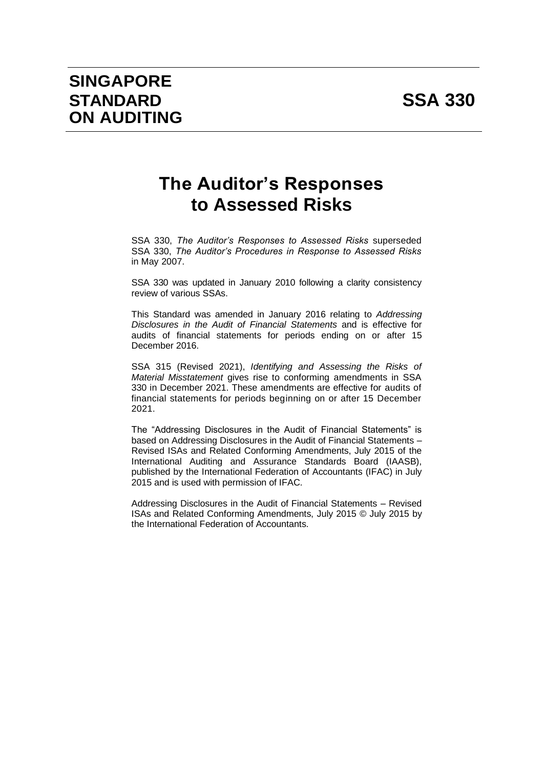# **The Auditor's Responses to Assessed Risks**

SSA 330, *The Auditor's Responses to Assessed Risks* superseded SSA 330, *The Auditor's Procedures in Response to Assessed Risks* in May 2007.

SSA 330 was updated in January 2010 following a clarity consistency review of various SSAs.

This Standard was amended in January 2016 relating to *Addressing Disclosures in the Audit of Financial Statements* and is effective for audits of financial statements for periods ending on or after 15 December 2016.

SSA 315 (Revised 2021), *Identifying and Assessing the Risks of Material Misstatement* gives rise to conforming amendments in SSA 330 in December 2021. These amendments are effective for audits of financial statements for periods beginning on or after 15 December 2021.

The "Addressing Disclosures in the Audit of Financial Statements" is based on Addressing Disclosures in the Audit of Financial Statements – Revised ISAs and Related Conforming Amendments, July 2015 of the International Auditing and Assurance Standards Board (IAASB), published by the International Federation of Accountants (IFAC) in July 2015 and is used with permission of IFAC.

Addressing Disclosures in the Audit of Financial Statements – Revised ISAs and Related Conforming Amendments, July 2015 © July 2015 by the International Federation of Accountants.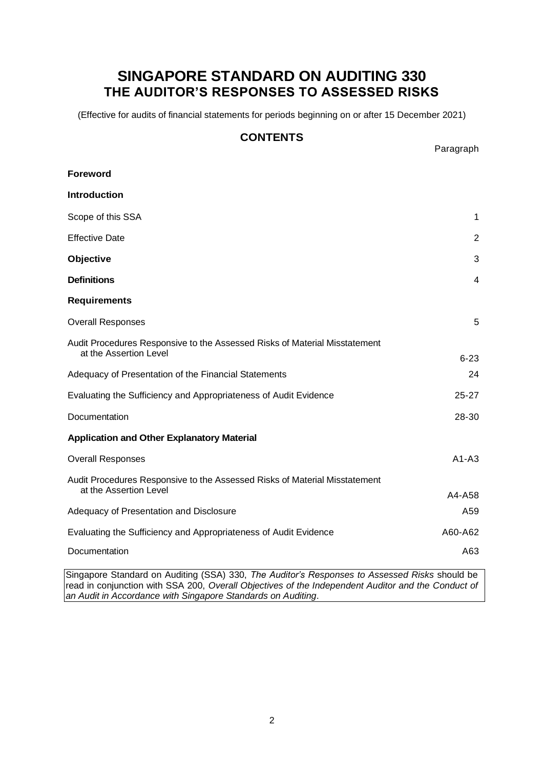# **SINGAPORE STANDARD ON AUDITING 330 THE AUDITOR'S RESPONSES TO ASSESSED RISKS**

(Effective for audits of financial statements for periods beginning on or after 15 December 2021)

### **CONTENTS**

Paragraph

| <b>Foreword</b>                                                                                                                                                                                     |               |
|-----------------------------------------------------------------------------------------------------------------------------------------------------------------------------------------------------|---------------|
| <b>Introduction</b>                                                                                                                                                                                 |               |
| Scope of this SSA                                                                                                                                                                                   | 1             |
| <b>Effective Date</b>                                                                                                                                                                               | 2             |
| Objective                                                                                                                                                                                           | 3             |
| <b>Definitions</b>                                                                                                                                                                                  | 4             |
| <b>Requirements</b>                                                                                                                                                                                 |               |
| <b>Overall Responses</b>                                                                                                                                                                            | 5             |
| Audit Procedures Responsive to the Assessed Risks of Material Misstatement<br>at the Assertion Level                                                                                                | $6 - 23$      |
| Adequacy of Presentation of the Financial Statements                                                                                                                                                | 24            |
| Evaluating the Sufficiency and Appropriateness of Audit Evidence                                                                                                                                    | $25 - 27$     |
| Documentation                                                                                                                                                                                       | 28-30         |
| <b>Application and Other Explanatory Material</b>                                                                                                                                                   |               |
| <b>Overall Responses</b>                                                                                                                                                                            | $A1-A3$       |
| Audit Procedures Responsive to the Assessed Risks of Material Misstatement<br>at the Assertion Level                                                                                                |               |
| Adequacy of Presentation and Disclosure                                                                                                                                                             | A4-A58<br>A59 |
| Evaluating the Sufficiency and Appropriateness of Audit Evidence                                                                                                                                    | A60-A62       |
| Documentation                                                                                                                                                                                       | A63           |
| Singapore Standard on Auditing (SSA) 330, The Auditor's Responses to Assessed Risks should be<br>read in conjunction with SSA 200, Overall Objectives of the Independent Auditor and the Conduct of |               |

*an Audit in Accordance with Singapore Standards on Auditing*.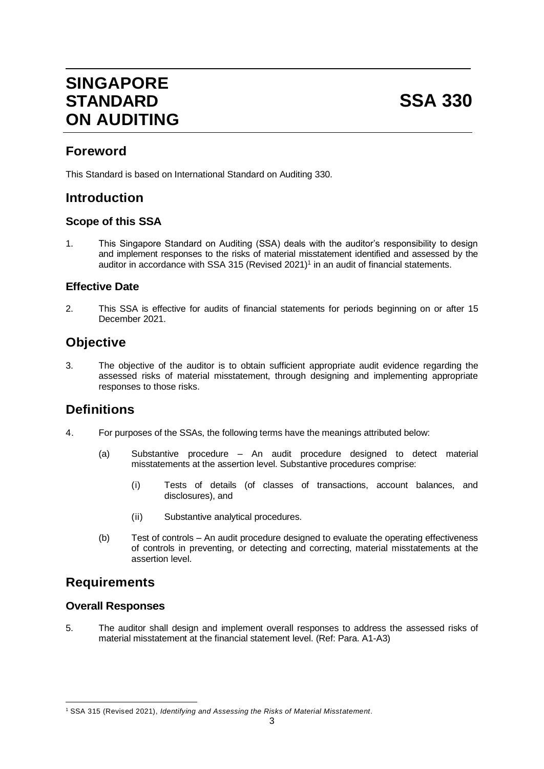# **SINGAPORE STANDARD SSA 330 ON AUDITING**

# **Foreword**

This Standard is based on International Standard on Auditing 330.

# **Introduction**

## **Scope of this SSA**

1. This Singapore Standard on Auditing (SSA) deals with the auditor's responsibility to design and implement responses to the risks of material misstatement identified and assessed by the auditor in accordance with SSA 315 (Revised 2021)<sup>1</sup> in an audit of financial statements.

## **Effective Date**

2. This SSA is effective for audits of financial statements for periods beginning on or after 15 December 2021.

# **Objective**

3. The objective of the auditor is to obtain sufficient appropriate audit evidence regarding the assessed risks of material misstatement, through designing and implementing appropriate responses to those risks.

# **Definitions**

- 4. For purposes of the SSAs, the following terms have the meanings attributed below:
	- (a) Substantive procedure An audit procedure designed to detect material misstatements at the assertion level. Substantive procedures comprise:
		- (i) Tests of details (of classes of transactions, account balances, and disclosures), and
		- (ii) Substantive analytical procedures.
	- (b) Test of controls An audit procedure designed to evaluate the operating effectiveness of controls in preventing, or detecting and correcting, material misstatements at the assertion level.

# **Requirements**

### **Overall Responses**

5. The auditor shall design and implement overall responses to address the assessed risks of material misstatement at the financial statement level. (Ref: Para. A1-A3)

<sup>1</sup> SSA 315 (Revised 2021), *Identifying and Assessing the Risks of Material Misstatement*.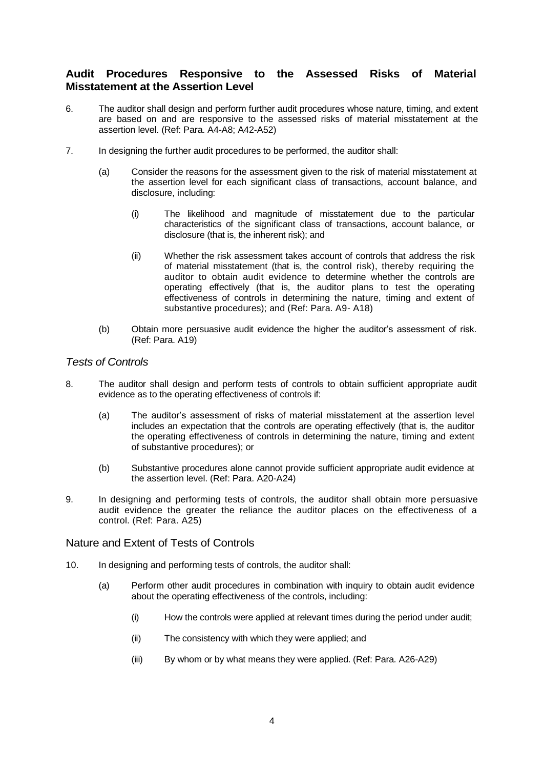## **Audit Procedures Responsive to the Assessed Risks of Material Misstatement at the Assertion Level**

- 6. The auditor shall design and perform further audit procedures whose nature, timing, and extent are based on and are responsive to the assessed risks of material misstatement at the assertion level. (Ref: Para. A4-A8; A42-A52)
- 7. In designing the further audit procedures to be performed, the auditor shall:
	- (a) Consider the reasons for the assessment given to the risk of material misstatement at the assertion level for each significant class of transactions, account balance, and disclosure, including:
		- (i) The likelihood and magnitude of misstatement due to the particular characteristics of the significant class of transactions, account balance, or disclosure (that is, the inherent risk); and
		- (ii) Whether the risk assessment takes account of controls that address the risk of material misstatement (that is, the control risk), thereby requiring the auditor to obtain audit evidence to determine whether the controls are operating effectively (that is, the auditor plans to test the operating effectiveness of controls in determining the nature, timing and extent of substantive procedures); and (Ref: Para. A9- A18)
	- (b) Obtain more persuasive audit evidence the higher the auditor's assessment of risk. (Ref: Para. A19)

#### *Tests of Controls*

- 8. The auditor shall design and perform tests of controls to obtain sufficient appropriate audit evidence as to the operating effectiveness of controls if:
	- (a) The auditor's assessment of risks of material misstatement at the assertion level includes an expectation that the controls are operating effectively (that is, the auditor the operating effectiveness of controls in determining the nature, timing and extent of substantive procedures); or
	- (b) Substantive procedures alone cannot provide sufficient appropriate audit evidence at the assertion level. (Ref: Para. A20-A24)
- 9. In designing and performing tests of controls, the auditor shall obtain more persuasive audit evidence the greater the reliance the auditor places on the effectiveness of a control. (Ref: Para. A25)

#### Nature and Extent of Tests of Controls

- 10. In designing and performing tests of controls, the auditor shall:
	- (a) Perform other audit procedures in combination with inquiry to obtain audit evidence about the operating effectiveness of the controls, including:
		- (i) How the controls were applied at relevant times during the period under audit;
		- (ii) The consistency with which they were applied; and
		- (iii) By whom or by what means they were applied. (Ref: Para. A26-A29)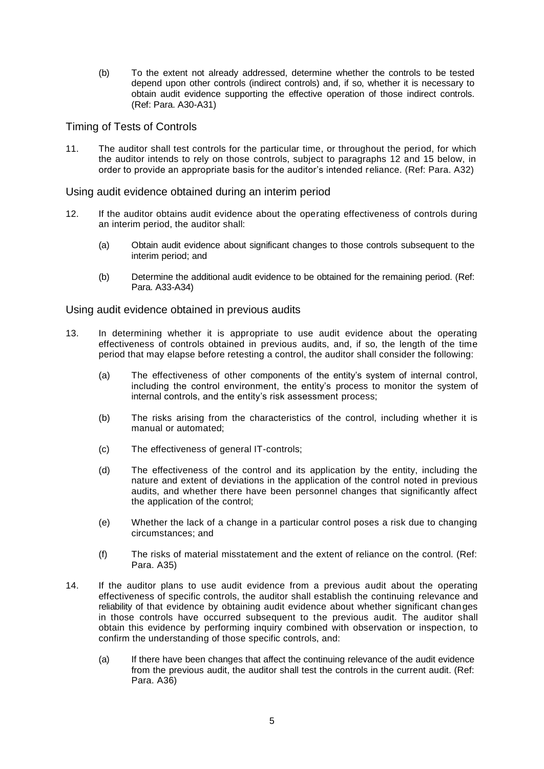(b) To the extent not already addressed, determine whether the controls to be tested depend upon other controls (indirect controls) and, if so, whether it is necessary to obtain audit evidence supporting the effective operation of those indirect controls. (Ref: Para. A30-A31)

#### Timing of Tests of Controls

11. The auditor shall test controls for the particular time, or throughout the period, for which the auditor intends to rely on those controls, subject to paragraphs 12 and 15 below, in order to provide an appropriate basis for the auditor's intended reliance. (Ref: Para. A32)

Using audit evidence obtained during an interim period

- 12. If the auditor obtains audit evidence about the operating effectiveness of controls during an interim period, the auditor shall:
	- (a) Obtain audit evidence about significant changes to those controls subsequent to the interim period; and
	- (b) Determine the additional audit evidence to be obtained for the remaining period. (Ref: Para. A33-A34)

Using audit evidence obtained in previous audits

- 13. In determining whether it is appropriate to use audit evidence about the operating effectiveness of controls obtained in previous audits, and, if so, the length of the time period that may elapse before retesting a control, the auditor shall consider the following:
	- (a) The effectiveness of other components of the entity's system of internal control, including the control environment, the entity's process to monitor the system of internal controls, and the entity's risk assessment process;
	- (b) The risks arising from the characteristics of the control, including whether it is manual or automated;
	- (c) The effectiveness of general IT-controls;
	- (d) The effectiveness of the control and its application by the entity, including the nature and extent of deviations in the application of the control noted in previous audits, and whether there have been personnel changes that significantly affect the application of the control;
	- (e) Whether the lack of a change in a particular control poses a risk due to changing circumstances; and
	- (f) The risks of material misstatement and the extent of reliance on the control. (Ref: Para. A35)
- 14. If the auditor plans to use audit evidence from a previous audit about the operating effectiveness of specific controls, the auditor shall establish the continuing relevance and reliability of that evidence by obtaining audit evidence about whether significant changes in those controls have occurred subsequent to the previous audit. The auditor shall obtain this evidence by performing inquiry combined with observation or inspection, to confirm the understanding of those specific controls, and:
	- (a) If there have been changes that affect the continuing relevance of the audit evidence from the previous audit, the auditor shall test the controls in the current audit. (Ref: Para. A36)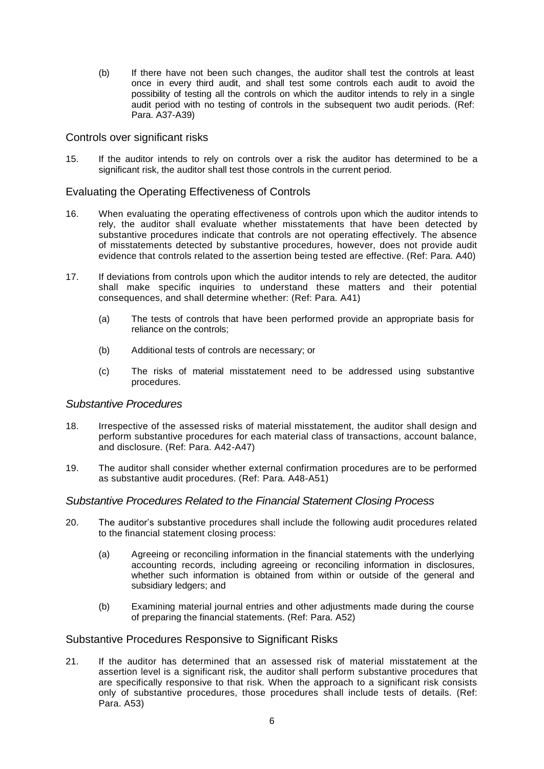(b) If there have not been such changes, the auditor shall test the controls at least once in every third audit, and shall test some controls each audit to avoid the possibility of testing all the controls on which the auditor intends to rely in a single audit period with no testing of controls in the subsequent two audit periods. (Ref: Para. A37-A39)

#### Controls over significant risks

15. If the auditor intends to rely on controls over a risk the auditor has determined to be a significant risk, the auditor shall test those controls in the current period.

#### Evaluating the Operating Effectiveness of Controls

- 16. When evaluating the operating effectiveness of controls upon which the auditor intends to rely, the auditor shall evaluate whether misstatements that have been detected by substantive procedures indicate that controls are not operating effectively. The absence of misstatements detected by substantive procedures, however, does not provide audit evidence that controls related to the assertion being tested are effective. (Ref: Para. A40)
- 17. If deviations from controls upon which the auditor intends to rely are detected, the auditor shall make specific inquiries to understand these matters and their potential consequences, and shall determine whether: (Ref: Para. A41)
	- (a) The tests of controls that have been performed provide an appropriate basis for reliance on the controls;
	- (b) Additional tests of controls are necessary; or
	- (c) The risks of material misstatement need to be addressed using substantive procedures.

#### *Substantive Procedures*

- 18. Irrespective of the assessed risks of material misstatement, the auditor shall design and perform substantive procedures for each material class of transactions, account balance, and disclosure. (Ref: Para. A42-A47)
- 19. The auditor shall consider whether external confirmation procedures are to be performed as substantive audit procedures. (Ref: Para. A48-A51)

#### *Substantive Procedures Related to the Financial Statement Closing Process*

- 20. The auditor's substantive procedures shall include the following audit procedures related to the financial statement closing process:
	- (a) Agreeing or reconciling information in the financial statements with the underlying accounting records, including agreeing or reconciling information in disclosures, whether such information is obtained from within or outside of the general and subsidiary ledgers; and
	- (b) Examining material journal entries and other adjustments made during the course of preparing the financial statements. (Ref: Para. A52)

#### Substantive Procedures Responsive to Significant Risks

21. If the auditor has determined that an assessed risk of material misstatement at the assertion level is a significant risk, the auditor shall perform substantive procedures that are specifically responsive to that risk. When the approach to a significant risk consists only of substantive procedures, those procedures shall include tests of details. (Ref: Para. A53)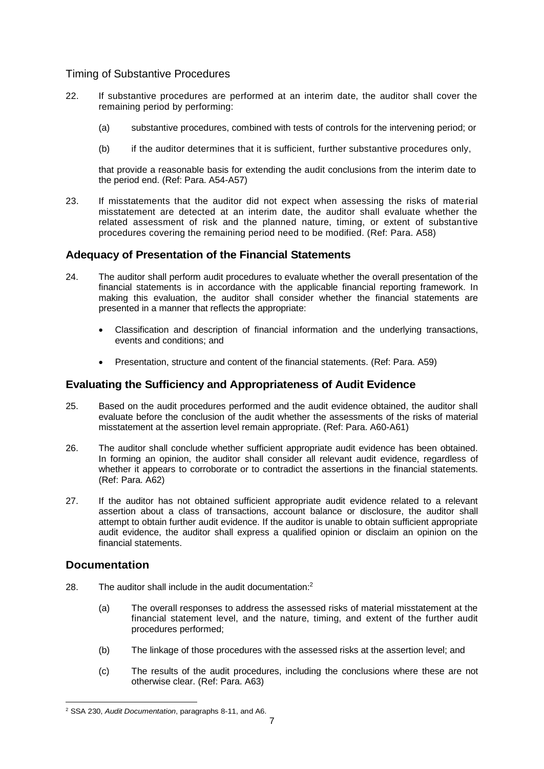## Timing of Substantive Procedures

- 22. If substantive procedures are performed at an interim date, the auditor shall cover the remaining period by performing:
	- (a) substantive procedures, combined with tests of controls for the intervening period; or
	- (b) if the auditor determines that it is sufficient, further substantive procedures only,

that provide a reasonable basis for extending the audit conclusions from the interim date to the period end. (Ref: Para. A54-A57)

23. If misstatements that the auditor did not expect when assessing the risks of material misstatement are detected at an interim date, the auditor shall evaluate whether the related assessment of risk and the planned nature, timing, or extent of substantive procedures covering the remaining period need to be modified. (Ref: Para. A58)

## **Adequacy of Presentation of the Financial Statements**

- 24. The auditor shall perform audit procedures to evaluate whether the overall presentation of the financial statements is in accordance with the applicable financial reporting framework. In making this evaluation, the auditor shall consider whether the financial statements are presented in a manner that reflects the appropriate:
	- Classification and description of financial information and the underlying transactions, events and conditions; and
	- Presentation, structure and content of the financial statements. (Ref: Para. A59)

## **Evaluating the Sufficiency and Appropriateness of Audit Evidence**

- 25. Based on the audit procedures performed and the audit evidence obtained, the auditor shall evaluate before the conclusion of the audit whether the assessments of the risks of material misstatement at the assertion level remain appropriate. (Ref: Para. A60-A61)
- 26. The auditor shall conclude whether sufficient appropriate audit evidence has been obtained. In forming an opinion, the auditor shall consider all relevant audit evidence, regardless of whether it appears to corroborate or to contradict the assertions in the financial statements. (Ref: Para. A62)
- 27. If the auditor has not obtained sufficient appropriate audit evidence related to a relevant assertion about a class of transactions, account balance or disclosure, the auditor shall attempt to obtain further audit evidence. If the auditor is unable to obtain sufficient appropriate audit evidence, the auditor shall express a qualified opinion or disclaim an opinion on the financial statements.

#### **Documentation**

- 28. The auditor shall include in the audit documentation:<sup>2</sup>
	- (a) The overall responses to address the assessed risks of material misstatement at the financial statement level, and the nature, timing, and extent of the further audit procedures performed;
	- (b) The linkage of those procedures with the assessed risks at the assertion level; and
	- (c) The results of the audit procedures, including the conclusions where these are not otherwise clear. (Ref: Para. A63)

<sup>2</sup> SSA 230, *Audit Documentation*, paragraphs 8-11, and A6.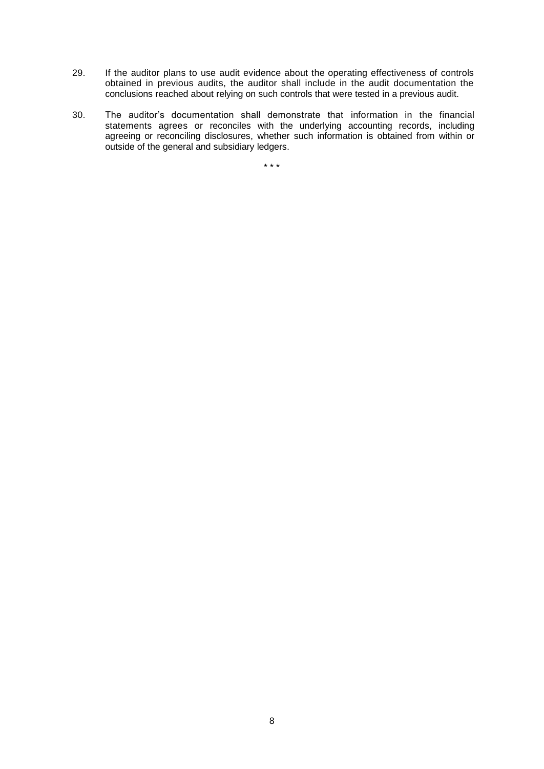- 29. If the auditor plans to use audit evidence about the operating effectiveness of controls obtained in previous audits, the auditor shall include in the audit documentation the conclusions reached about relying on such controls that were tested in a previous audit.
- 30. The auditor's documentation shall demonstrate that information in the financial statements agrees or reconciles with the underlying accounting records, including agreeing or reconciling disclosures, whether such information is obtained from within or outside of the general and subsidiary ledgers.

\* \* \*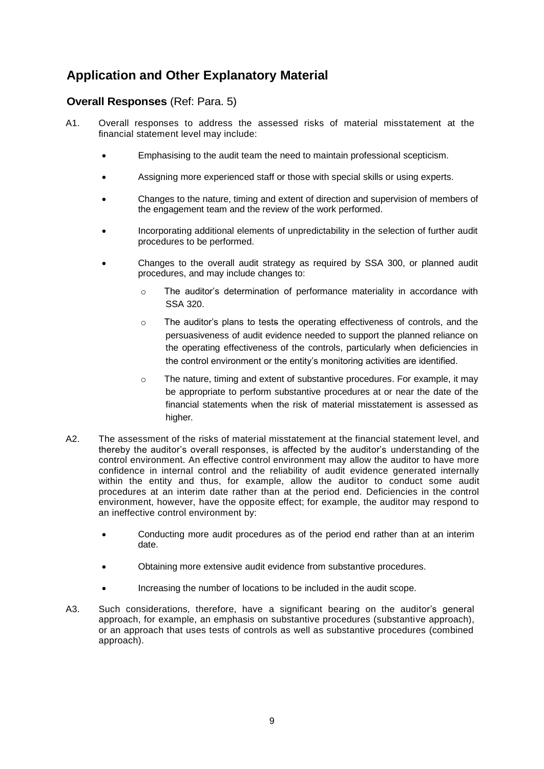# **Application and Other Explanatory Material**

## **Overall Responses** (Ref: Para. 5)

- A1. Overall responses to address the assessed risks of material misstatement at the financial statement level may include:
	- Emphasising to the audit team the need to maintain professional scepticism.
	- Assigning more experienced staff or those with special skills or using experts.
	- Changes to the nature, timing and extent of direction and supervision of members of the engagement team and the review of the work performed.
	- Incorporating additional elements of unpredictability in the selection of further audit procedures to be performed.
	- Changes to the overall audit strategy as required by SSA 300, or planned audit procedures, and may include changes to:
		- o The auditor's determination of performance materiality in accordance with SSA 320.
		- $\circ$  The auditor's plans to tests the operating effectiveness of controls, and the persuasiveness of audit evidence needed to support the planned reliance on the operating effectiveness of the controls, particularly when deficiencies in the control environment or the entity's monitoring activities are identified.
		- $\circ$  The nature, timing and extent of substantive procedures. For example, it may be appropriate to perform substantive procedures at or near the date of the financial statements when the risk of material misstatement is assessed as higher*.*
- A2. The assessment of the risks of material misstatement at the financial statement level, and thereby the auditor's overall responses, is affected by the auditor's understanding of the control environment. An effective control environment may allow the auditor to have more confidence in internal control and the reliability of audit evidence generated internally within the entity and thus, for example, allow the auditor to conduct some audit procedures at an interim date rather than at the period end. Deficiencies in the control environment, however, have the opposite effect; for example, the auditor may respond to an ineffective control environment by:
	- Conducting more audit procedures as of the period end rather than at an interim date.
	- Obtaining more extensive audit evidence from substantive procedures.
	- Increasing the number of locations to be included in the audit scope.
- A3. Such considerations, therefore, have a significant bearing on the auditor's general approach, for example, an emphasis on substantive procedures (substantive approach), or an approach that uses tests of controls as well as substantive procedures (combined approach).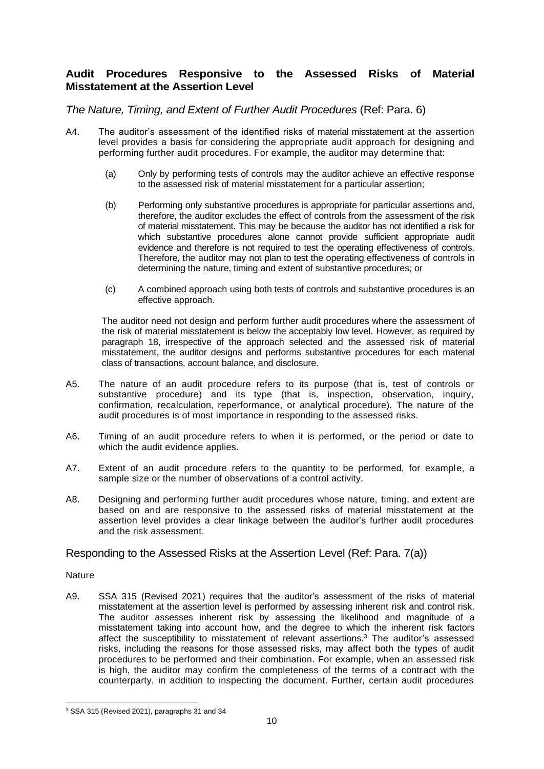## **Audit Procedures Responsive to the Assessed Risks of Material Misstatement at the Assertion Level**

## *The Nature, Timing, and Extent of Further Audit Procedures* (Ref: Para. 6)

- A4. The auditor's assessment of the identified risks of material misstatement at the assertion level provides a basis for considering the appropriate audit approach for designing and performing further audit procedures. For example, the auditor may determine that:
	- (a) Only by performing tests of controls may the auditor achieve an effective response to the assessed risk of material misstatement for a particular assertion;
	- (b) Performing only substantive procedures is appropriate for particular assertions and, therefore, the auditor excludes the effect of controls from the assessment of the risk of material misstatement. This may be because the auditor has not identified a risk for which substantive procedures alone cannot provide sufficient appropriate audit evidence and therefore is not required to test the operating effectiveness of controls. Therefore, the auditor may not plan to test the operating effectiveness of controls in determining the nature, timing and extent of substantive procedures; or
	- (c) A combined approach using both tests of controls and substantive procedures is an effective approach.

The auditor need not design and perform further audit procedures where the assessment of the risk of material misstatement is below the acceptably low level. However, as required by paragraph 18, irrespective of the approach selected and the assessed risk of material misstatement, the auditor designs and performs substantive procedures for each material class of transactions, account balance, and disclosure.

- A5. The nature of an audit procedure refers to its purpose (that is, test of controls or substantive procedure) and its type (that is, inspection, observation, inquiry, confirmation, recalculation, reperformance, or analytical procedure). The nature of the audit procedures is of most importance in responding to the assessed risks.
- A6. Timing of an audit procedure refers to when it is performed, or the period or date to which the audit evidence applies.
- A7. Extent of an audit procedure refers to the quantity to be performed, for example, a sample size or the number of observations of a control activity.
- A8. Designing and performing further audit procedures whose nature, timing, and extent are based on and are responsive to the assessed risks of material misstatement at the assertion level provides a clear linkage between the auditor's further audit procedures and the risk assessment.

#### Responding to the Assessed Risks at the Assertion Level (Ref: Para. 7(a))

#### **Nature**

A9. SSA 315 (Revised 2021) requires that the auditor's assessment of the risks of material misstatement at the assertion level is performed by assessing inherent risk and control risk. The auditor assesses inherent risk by assessing the likelihood and magnitude of a misstatement taking into account how, and the degree to which the inherent risk factors affect the susceptibility to misstatement of relevant assertions.<sup>3</sup> The auditor's assessed risks, including the reasons for those assessed risks, may affect both the types of audit procedures to be performed and their combination. For example, when an assessed risk is high, the auditor may confirm the completeness of the terms of a contract with the counterparty, in addition to inspecting the document. Further, certain audit procedures

<sup>3</sup> SSA 315 (Revised 2021), paragraphs 31 and 34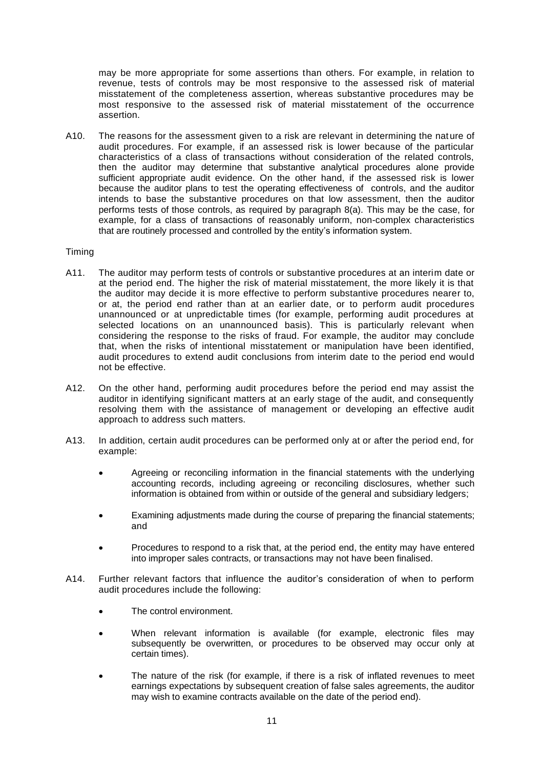may be more appropriate for some assertions than others. For example, in relation to revenue, tests of controls may be most responsive to the assessed risk of material misstatement of the completeness assertion, whereas substantive procedures may be most responsive to the assessed risk of material misstatement of the occurrence assertion.

A10. The reasons for the assessment given to a risk are relevant in determining the nature of audit procedures. For example, if an assessed risk is lower because of the particular characteristics of a class of transactions without consideration of the related controls, then the auditor may determine that substantive analytical procedures alone provide sufficient appropriate audit evidence. On the other hand, if the assessed risk is lower because the auditor plans to test the operating effectiveness of controls, and the auditor intends to base the substantive procedures on that low assessment, then the auditor performs tests of those controls, as required by paragraph 8(a). This may be the case, for example, for a class of transactions of reasonably uniform, non-complex characteristics that are routinely processed and controlled by the entity's information system.

#### Timing

- A11. The auditor may perform tests of controls or substantive procedures at an interim date or at the period end. The higher the risk of material misstatement, the more likely it is that the auditor may decide it is more effective to perform substantive procedures nearer to, or at, the period end rather than at an earlier date, or to perform audit procedures unannounced or at unpredictable times (for example, performing audit procedures at selected locations on an unannounced basis). This is particularly relevant when considering the response to the risks of fraud. For example, the auditor may conclude that, when the risks of intentional misstatement or manipulation have been identified, audit procedures to extend audit conclusions from interim date to the period end would not be effective.
- A12. On the other hand, performing audit procedures before the period end may assist the auditor in identifying significant matters at an early stage of the audit, and consequently resolving them with the assistance of management or developing an effective audit approach to address such matters.
- A13. In addition, certain audit procedures can be performed only at or after the period end, for example:
	- Agreeing or reconciling information in the financial statements with the underlying accounting records, including agreeing or reconciling disclosures, whether such information is obtained from within or outside of the general and subsidiary ledgers;
	- Examining adjustments made during the course of preparing the financial statements; and
	- Procedures to respond to a risk that, at the period end, the entity may have entered into improper sales contracts, or transactions may not have been finalised.
- A14. Further relevant factors that influence the auditor's consideration of when to perform audit procedures include the following:
	- The control environment.
	- When relevant information is available (for example, electronic files may subsequently be overwritten, or procedures to be observed may occur only at certain times).
	- The nature of the risk (for example, if there is a risk of inflated revenues to meet earnings expectations by subsequent creation of false sales agreements, the auditor may wish to examine contracts available on the date of the period end).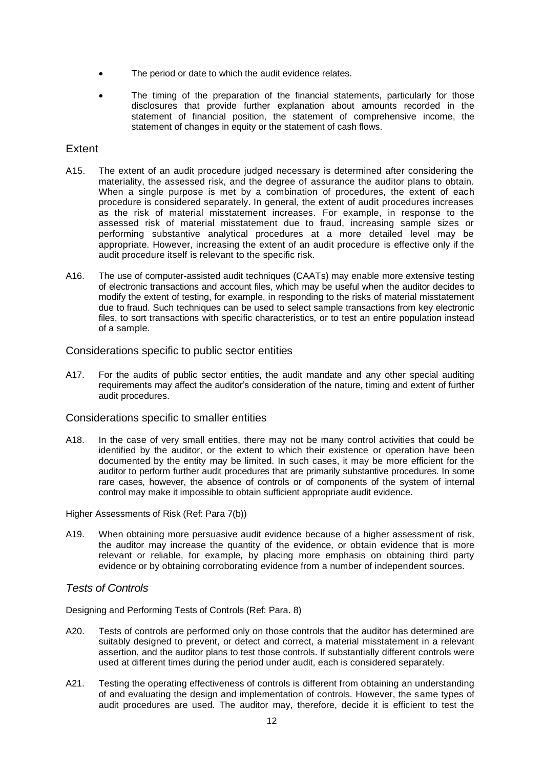- The period or date to which the audit evidence relates.
- The timing of the preparation of the financial statements, particularly for those disclosures that provide further explanation about amounts recorded in the statement of financial position, the statement of comprehensive income, the statement of changes in equity or the statement of cash flows.

#### **Extent**

- A15. The extent of an audit procedure judged necessary is determined after considering the materiality, the assessed risk, and the degree of assurance the auditor plans to obtain. When a single purpose is met by a combination of procedures, the extent of each procedure is considered separately. In general, the extent of audit procedures increases as the risk of material misstatement increases. For example, in response to the assessed risk of material misstatement due to fraud, increasing sample sizes or performing substantive analytical procedures at a more detailed level may be appropriate. However, increasing the extent of an audit procedure is effective only if the audit procedure itself is relevant to the specific risk.
- A16. The use of computer-assisted audit techniques (CAATs) may enable more extensive testing of electronic transactions and account files, which may be useful when the auditor decides to modify the extent of testing, for example, in responding to the risks of material misstatement due to fraud. Such techniques can be used to select sample transactions from key electronic files, to sort transactions with specific characteristics, or to test an entire population instead of a sample.

#### Considerations specific to public sector entities

A17. For the audits of public sector entities, the audit mandate and any other special auditing requirements may affect the auditor's consideration of the nature, timing and extent of further audit procedures.

#### Considerations specific to smaller entities

A18. In the case of very small entities, there may not be many control activities that could be identified by the auditor, or the extent to which their existence or operation have been documented by the entity may be limited. In such cases, it may be more efficient for the auditor to perform further audit procedures that are primarily substantive procedures. In some rare cases, however, the absence of controls or of components of the system of internal control may make it impossible to obtain sufficient appropriate audit evidence.

Higher Assessments of Risk (Ref: Para 7(b))

A19. When obtaining more persuasive audit evidence because of a higher assessment of risk, the auditor may increase the quantity of the evidence, or obtain evidence that is more relevant or reliable, for example, by placing more emphasis on obtaining third party evidence or by obtaining corroborating evidence from a number of independent sources.

#### *Tests of Controls*

Designing and Performing Tests of Controls (Ref: Para. 8)

- A20. Tests of controls are performed only on those controls that the auditor has determined are suitably designed to prevent, or detect and correct, a material misstatement in a relevant assertion, and the auditor plans to test those controls. If substantially different controls were used at different times during the period under audit, each is considered separately.
- A21. Testing the operating effectiveness of controls is different from obtaining an understanding of and evaluating the design and implementation of controls. However, the same types of audit procedures are used. The auditor may, therefore, decide it is efficient to test the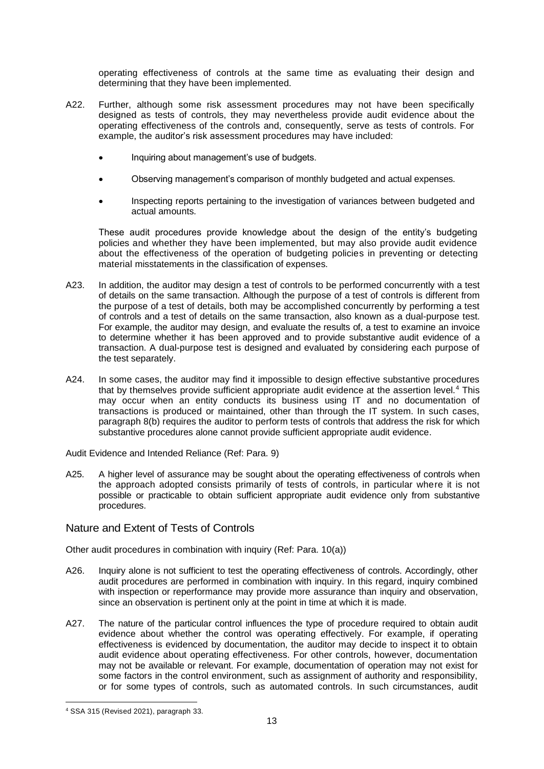operating effectiveness of controls at the same time as evaluating their design and determining that they have been implemented.

- A22. Further, although some risk assessment procedures may not have been specifically designed as tests of controls, they may nevertheless provide audit evidence about the operating effectiveness of the controls and, consequently, serve as tests of controls. For example, the auditor's risk assessment procedures may have included:
	- Inquiring about management's use of budgets.
	- Observing management's comparison of monthly budgeted and actual expenses.
	- Inspecting reports pertaining to the investigation of variances between budgeted and actual amounts.

These audit procedures provide knowledge about the design of the entity's budgeting policies and whether they have been implemented, but may also provide audit evidence about the effectiveness of the operation of budgeting policies in preventing or detecting material misstatements in the classification of expenses.

- A23. In addition, the auditor may design a test of controls to be performed concurrently with a test of details on the same transaction. Although the purpose of a test of controls is different from the purpose of a test of details, both may be accomplished concurrently by performing a test of controls and a test of details on the same transaction, also known as a dual-purpose test. For example, the auditor may design, and evaluate the results of, a test to examine an invoice to determine whether it has been approved and to provide substantive audit evidence of a transaction. A dual-purpose test is designed and evaluated by considering each purpose of the test separately.
- A24. In some cases, the auditor may find it impossible to design effective substantive procedures that by themselves provide sufficient appropriate audit evidence at the assertion level.<sup>4</sup> This may occur when an entity conducts its business using IT and no documentation of transactions is produced or maintained, other than through the IT system. In such cases, paragraph 8(b) requires the auditor to perform tests of controls that address the risk for which substantive procedures alone cannot provide sufficient appropriate audit evidence.

Audit Evidence and Intended Reliance (Ref: Para. 9)

A25. A higher level of assurance may be sought about the operating effectiveness of controls when the approach adopted consists primarily of tests of controls, in particular where it is not possible or practicable to obtain sufficient appropriate audit evidence only from substantive procedures.

## Nature and Extent of Tests of Controls

Other audit procedures in combination with inquiry (Ref: Para. 10(a))

- A26. Inquiry alone is not sufficient to test the operating effectiveness of controls. Accordingly, other audit procedures are performed in combination with inquiry. In this regard, inquiry combined with inspection or reperformance may provide more assurance than inquiry and observation, since an observation is pertinent only at the point in time at which it is made.
- A27. The nature of the particular control influences the type of procedure required to obtain audit evidence about whether the control was operating effectively. For example, if operating effectiveness is evidenced by documentation, the auditor may decide to inspect it to obtain audit evidence about operating effectiveness. For other controls, however, documentation may not be available or relevant. For example, documentation of operation may not exist for some factors in the control environment, such as assignment of authority and responsibility, or for some types of controls, such as automated controls. In such circumstances, audit

<sup>4</sup> SSA 315 (Revised 2021), paragraph 33.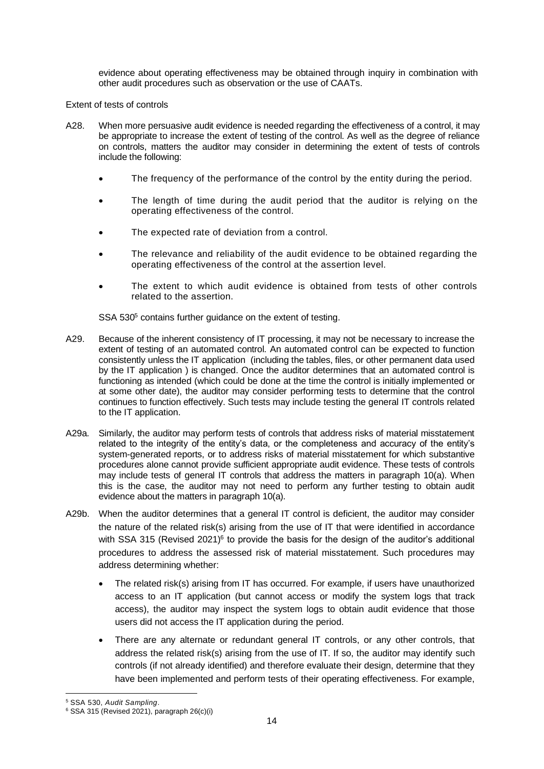evidence about operating effectiveness may be obtained through inquiry in combination with other audit procedures such as observation or the use of CAATs.

Extent of tests of controls

- A28. When more persuasive audit evidence is needed regarding the effectiveness of a control, it may be appropriate to increase the extent of testing of the control. As well as the degree of reliance on controls, matters the auditor may consider in determining the extent of tests of controls include the following:
	- The frequency of the performance of the control by the entity during the period.
	- The length of time during the audit period that the auditor is relying on the operating effectiveness of the control.
	- The expected rate of deviation from a control.
	- The relevance and reliability of the audit evidence to be obtained regarding the operating effectiveness of the control at the assertion level.
	- The extent to which audit evidence is obtained from tests of other controls related to the assertion.

SSA 530<sup>5</sup> contains further guidance on the extent of testing.

- A29. Because of the inherent consistency of IT processing, it may not be necessary to increase the extent of testing of an automated control. An automated control can be expected to function consistently unless the IT application (including the tables, files, or other permanent data used by the IT application ) is changed. Once the auditor determines that an automated control is functioning as intended (which could be done at the time the control is initially implemented or at some other date), the auditor may consider performing tests to determine that the control continues to function effectively. Such tests may include testing the general IT controls related to the IT application.
- A29a. Similarly, the auditor may perform tests of controls that address risks of material misstatement related to the integrity of the entity's data, or the completeness and accuracy of the entity's system-generated reports, or to address risks of material misstatement for which substantive procedures alone cannot provide sufficient appropriate audit evidence. These tests of controls may include tests of general IT controls that address the matters in paragraph 10(a). When this is the case, the auditor may not need to perform any further testing to obtain audit evidence about the matters in paragraph 10(a).
- A29b. When the auditor determines that a general IT control is deficient, the auditor may consider the nature of the related risk(s) arising from the use of IT that were identified in accordance with SSA 315 (Revised 2021)<sup>6</sup> to provide the basis for the design of the auditor's additional procedures to address the assessed risk of material misstatement. Such procedures may address determining whether:
	- The related risk(s) arising from IT has occurred. For example, if users have unauthorized access to an IT application (but cannot access or modify the system logs that track access), the auditor may inspect the system logs to obtain audit evidence that those users did not access the IT application during the period.
	- There are any alternate or redundant general IT controls, or any other controls, that address the related risk(s) arising from the use of IT. If so, the auditor may identify such controls (if not already identified) and therefore evaluate their design, determine that they have been implemented and perform tests of their operating effectiveness. For example,

<sup>5</sup> SSA 530, *Audit Sampling*.

<sup>6</sup> SSA 315 (Revised 2021), paragraph 26(c)(i)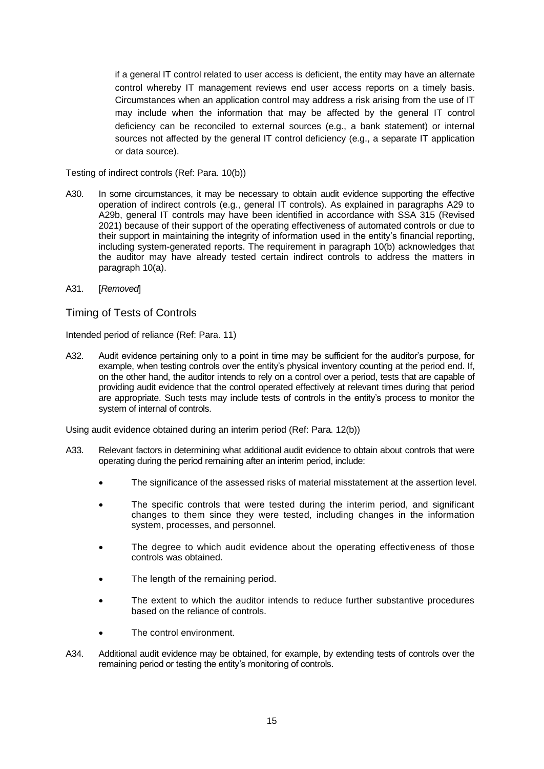if a general IT control related to user access is deficient, the entity may have an alternate control whereby IT management reviews end user access reports on a timely basis. Circumstances when an application control may address a risk arising from the use of IT may include when the information that may be affected by the general IT control deficiency can be reconciled to external sources (e.g., a bank statement) or internal sources not affected by the general IT control deficiency (e.g., a separate IT application or data source).

Testing of indirect controls (Ref: Para. 10(b))

- A30. In some circumstances, it may be necessary to obtain audit evidence supporting the effective operation of indirect controls (e.g., general IT controls). As explained in paragraphs A29 to A29b, general IT controls may have been identified in accordance with SSA 315 (Revised 2021) because of their support of the operating effectiveness of automated controls or due to their support in maintaining the integrity of information used in the entity's financial reporting, including system-generated reports. The requirement in paragraph 10(b) acknowledges that the auditor may have already tested certain indirect controls to address the matters in paragraph 10(a).
- A31. [*Removed*]

Timing of Tests of Controls

Intended period of reliance (Ref: Para. 11)

A32. Audit evidence pertaining only to a point in time may be sufficient for the auditor's purpose, for example, when testing controls over the entity's physical inventory counting at the period end. If, on the other hand, the auditor intends to rely on a control over a period, tests that are capable of providing audit evidence that the control operated effectively at relevant times during that period are appropriate. Such tests may include tests of controls in the entity's process to monitor the system of internal of controls.

Using audit evidence obtained during an interim period (Ref: Para. 12(b))

- A33. Relevant factors in determining what additional audit evidence to obtain about controls that were operating during the period remaining after an interim period, include:
	- The significance of the assessed risks of material misstatement at the assertion level.
	- The specific controls that were tested during the interim period, and significant changes to them since they were tested, including changes in the information system, processes, and personnel.
	- The degree to which audit evidence about the operating effectiveness of those controls was obtained.
	- The length of the remaining period.
	- The extent to which the auditor intends to reduce further substantive procedures based on the reliance of controls.
	- The control environment.
- A34. Additional audit evidence may be obtained, for example, by extending tests of controls over the remaining period or testing the entity's monitoring of controls.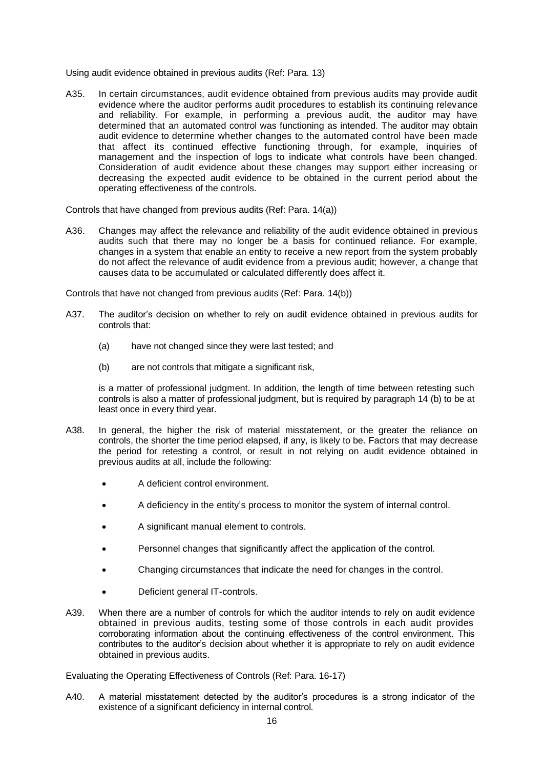Using audit evidence obtained in previous audits (Ref: Para. 13)

A35. In certain circumstances, audit evidence obtained from previous audits may provide audit evidence where the auditor performs audit procedures to establish its continuing relevance and reliability. For example, in performing a previous audit, the auditor may have determined that an automated control was functioning as intended. The auditor may obtain audit evidence to determine whether changes to the automated control have been made that affect its continued effective functioning through, for example, inquiries of management and the inspection of logs to indicate what controls have been changed. Consideration of audit evidence about these changes may support either increasing or decreasing the expected audit evidence to be obtained in the current period about the operating effectiveness of the controls.

Controls that have changed from previous audits (Ref: Para. 14(a))

A36. Changes may affect the relevance and reliability of the audit evidence obtained in previous audits such that there may no longer be a basis for continued reliance. For example, changes in a system that enable an entity to receive a new report from the system probably do not affect the relevance of audit evidence from a previous audit; however, a change that causes data to be accumulated or calculated differently does affect it.

Controls that have not changed from previous audits (Ref: Para. 14(b))

- A37. The auditor's decision on whether to rely on audit evidence obtained in previous audits for controls that:
	- (a) have not changed since they were last tested; and
	- (b) are not controls that mitigate a significant risk,

is a matter of professional judgment. In addition, the length of time between retesting such controls is also a matter of professional judgment, but is required by paragraph 14 (b) to be at least once in every third year.

- A38. In general, the higher the risk of material misstatement, or the greater the reliance on controls, the shorter the time period elapsed, if any, is likely to be. Factors that may decrease the period for retesting a control, or result in not relying on audit evidence obtained in previous audits at all, include the following:
	- A deficient control environment.
	- A deficiency in the entity's process to monitor the system of internal control.
	- A significant manual element to controls.
	- Personnel changes that significantly affect the application of the control.
	- Changing circumstances that indicate the need for changes in the control.
	- Deficient general IT-controls.
- A39. When there are a number of controls for which the auditor intends to rely on audit evidence obtained in previous audits, testing some of those controls in each audit provides corroborating information about the continuing effectiveness of the control environment. This contributes to the auditor's decision about whether it is appropriate to rely on audit evidence obtained in previous audits.

Evaluating the Operating Effectiveness of Controls (Ref: Para. 16-17)

A40. A material misstatement detected by the auditor's procedures is a strong indicator of the existence of a significant deficiency in internal control.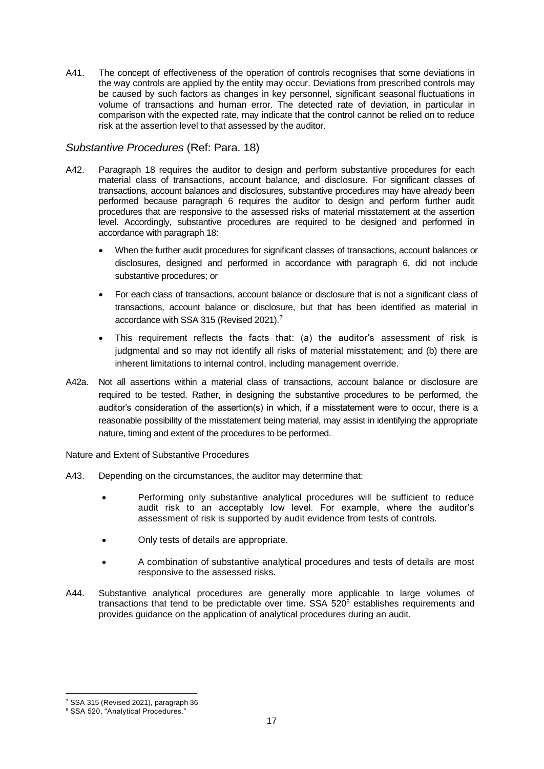A41. The concept of effectiveness of the operation of controls recognises that some deviations in the way controls are applied by the entity may occur. Deviations from prescribed controls may be caused by such factors as changes in key personnel, significant seasonal fluctuations in volume of transactions and human error. The detected rate of deviation, in particular in comparison with the expected rate, may indicate that the control cannot be relied on to reduce risk at the assertion level to that assessed by the auditor.

## *Substantive Procedures* (Ref: Para. 18)

- A42. Paragraph 18 requires the auditor to design and perform substantive procedures for each material class of transactions, account balance, and disclosure. For significant classes of transactions, account balances and disclosures, substantive procedures may have already been performed because paragraph 6 requires the auditor to design and perform further audit procedures that are responsive to the assessed risks of material misstatement at the assertion level. Accordingly, substantive procedures are required to be designed and performed in accordance with paragraph 18:
	- When the further audit procedures for significant classes of transactions, account balances or disclosures, designed and performed in accordance with paragraph 6, did not include substantive procedures; or
	- For each class of transactions, account balance or disclosure that is not a significant class of transactions, account balance or disclosure, but that has been identified as material in accordance with SSA 315 (Revised 2021).<sup>7</sup>
	- This requirement reflects the facts that: (a) the auditor's assessment of risk is judgmental and so may not identify all risks of material misstatement; and (b) there are inherent limitations to internal control, including management override.
- A42a. Not all assertions within a material class of transactions, account balance or disclosure are required to be tested. Rather, in designing the substantive procedures to be performed, the auditor's consideration of the assertion(s) in which, if a misstatement were to occur, there is a reasonable possibility of the misstatement being material, may assist in identifying the appropriate nature, timing and extent of the procedures to be performed.

Nature and Extent of Substantive Procedures

- A43. Depending on the circumstances, the auditor may determine that:
	- Performing only substantive analytical procedures will be sufficient to reduce audit risk to an acceptably low level. For example, where the auditor's assessment of risk is supported by audit evidence from tests of controls.
	- Only tests of details are appropriate.
	- A combination of substantive analytical procedures and tests of details are most responsive to the assessed risks.
- A44. Substantive analytical procedures are generally more applicable to large volumes of transactions that tend to be predictable over time. SSA  $520<sup>8</sup>$  establishes requirements and provides guidance on the application of analytical procedures during an audit.

<sup>7</sup> SSA 315 (Revised 2021), paragraph 36

<sup>8</sup> SSA 520, "Analytical Procedures."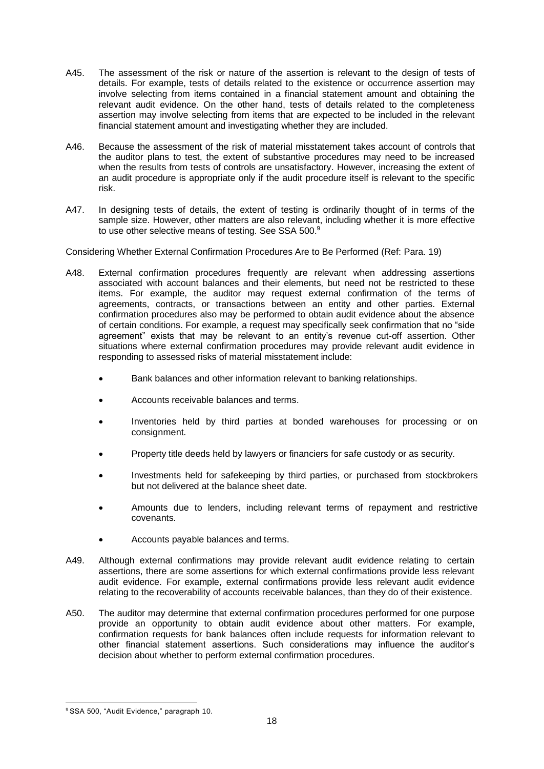- A45. The assessment of the risk or nature of the assertion is relevant to the design of tests of details. For example, tests of details related to the existence or occurrence assertion may involve selecting from items contained in a financial statement amount and obtaining the relevant audit evidence. On the other hand, tests of details related to the completeness assertion may involve selecting from items that are expected to be included in the relevant financial statement amount and investigating whether they are included.
- A46. Because the assessment of the risk of material misstatement takes account of controls that the auditor plans to test, the extent of substantive procedures may need to be increased when the results from tests of controls are unsatisfactory. However, increasing the extent of an audit procedure is appropriate only if the audit procedure itself is relevant to the specific risk.
- A47. In designing tests of details, the extent of testing is ordinarily thought of in terms of the sample size. However, other matters are also relevant, including whether it is more effective to use other selective means of testing. See SSA 500.<sup>9</sup>

Considering Whether External Confirmation Procedures Are to Be Performed (Ref: Para. 19)

- A48. External confirmation procedures frequently are relevant when addressing assertions associated with account balances and their elements, but need not be restricted to these items. For example, the auditor may request external confirmation of the terms of agreements, contracts, or transactions between an entity and other parties. External confirmation procedures also may be performed to obtain audit evidence about the absence of certain conditions. For example, a request may specifically seek confirmation that no "side agreement" exists that may be relevant to an entity's revenue cut-off assertion. Other situations where external confirmation procedures may provide relevant audit evidence in responding to assessed risks of material misstatement include:
	- Bank balances and other information relevant to banking relationships.
	- Accounts receivable balances and terms.
	- Inventories held by third parties at bonded warehouses for processing or on consignment.
	- Property title deeds held by lawyers or financiers for safe custody or as security.
	- Investments held for safekeeping by third parties, or purchased from stockbrokers but not delivered at the balance sheet date.
	- Amounts due to lenders, including relevant terms of repayment and restrictive covenants.
	- Accounts payable balances and terms.
- A49. Although external confirmations may provide relevant audit evidence relating to certain assertions, there are some assertions for which external confirmations provide less relevant audit evidence. For example, external confirmations provide less relevant audit evidence relating to the recoverability of accounts receivable balances, than they do of their existence.
- A50. The auditor may determine that external confirmation procedures performed for one purpose provide an opportunity to obtain audit evidence about other matters. For example, confirmation requests for bank balances often include requests for information relevant to other financial statement assertions. Such considerations may influence the auditor's decision about whether to perform external confirmation procedures.

<sup>9</sup> SSA 500, "Audit Evidence," paragraph 10.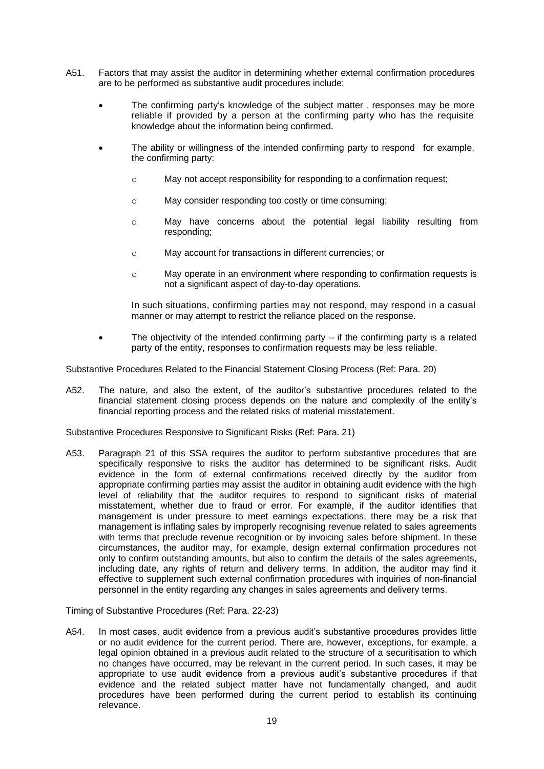- A51. Factors that may assist the auditor in determining whether external confirmation procedures are to be performed as substantive audit procedures include:
	- The confirming party's knowledge of the subject matter responses may be more reliable if provided by a person at the confirming party who has the requisite knowledge about the information being confirmed.
	- The ability or willingness of the intended confirming party to respond for example, the confirming party:
		- o May not accept responsibility for responding to a confirmation request;
		- o May consider responding too costly or time consuming;
		- o May have concerns about the potential legal liability resulting from responding;
		- o May account for transactions in different currencies; or
		- o May operate in an environment where responding to confirmation requests is not a significant aspect of day-to-day operations.

In such situations, confirming parties may not respond, may respond in a casual manner or may attempt to restrict the reliance placed on the response.

• The objectivity of the intended confirming party – if the confirming party is a related party of the entity, responses to confirmation requests may be less reliable.

Substantive Procedures Related to the Financial Statement Closing Process (Ref: Para. 20)

A52. The nature, and also the extent, of the auditor's substantive procedures related to the financial statement closing process depends on the nature and complexity of the entity's financial reporting process and the related risks of material misstatement.

Substantive Procedures Responsive to Significant Risks (Ref: Para. 21)

A53. Paragraph 21 of this SSA requires the auditor to perform substantive procedures that are specifically responsive to risks the auditor has determined to be significant risks. Audit evidence in the form of external confirmations received directly by the auditor from appropriate confirming parties may assist the auditor in obtaining audit evidence with the high level of reliability that the auditor requires to respond to significant risks of material misstatement, whether due to fraud or error. For example, if the auditor identifies that management is under pressure to meet earnings expectations, there may be a risk that management is inflating sales by improperly recognising revenue related to sales agreements with terms that preclude revenue recognition or by invoicing sales before shipment. In these circumstances, the auditor may, for example, design external confirmation procedures not only to confirm outstanding amounts, but also to confirm the details of the sales agreements, including date, any rights of return and delivery terms. In addition, the auditor may find it effective to supplement such external confirmation procedures with inquiries of non-financial personnel in the entity regarding any changes in sales agreements and delivery terms.

Timing of Substantive Procedures (Ref: Para. 22-23)

A54. In most cases, audit evidence from a previous audit's substantive procedures provides little or no audit evidence for the current period. There are, however, exceptions, for example, a legal opinion obtained in a previous audit related to the structure of a securitisation to which no changes have occurred, may be relevant in the current period. In such cases, it may be appropriate to use audit evidence from a previous audit's substantive procedures if that evidence and the related subject matter have not fundamentally changed, and audit procedures have been performed during the current period to establish its continuing relevance.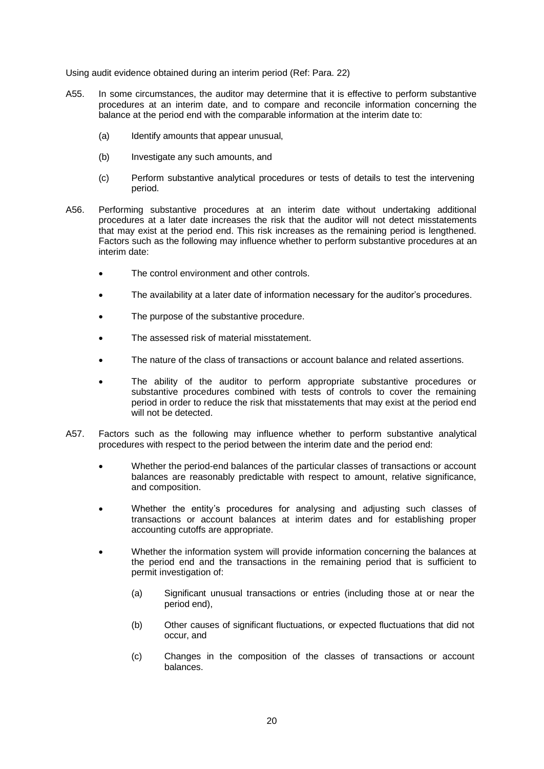Using audit evidence obtained during an interim period (Ref: Para. 22)

- A55. In some circumstances, the auditor may determine that it is effective to perform substantive procedures at an interim date, and to compare and reconcile information concerning the balance at the period end with the comparable information at the interim date to:
	- (a) Identify amounts that appear unusual,
	- (b) Investigate any such amounts, and
	- (c) Perform substantive analytical procedures or tests of details to test the intervening period.
- A56. Performing substantive procedures at an interim date without undertaking additional procedures at a later date increases the risk that the auditor will not detect misstatements that may exist at the period end. This risk increases as the remaining period is lengthened. Factors such as the following may influence whether to perform substantive procedures at an interim date:
	- The control environment and other controls.
	- The availability at a later date of information necessary for the auditor's procedures.
	- The purpose of the substantive procedure.
	- The assessed risk of material misstatement.
	- The nature of the class of transactions or account balance and related assertions.
	- The ability of the auditor to perform appropriate substantive procedures or substantive procedures combined with tests of controls to cover the remaining period in order to reduce the risk that misstatements that may exist at the period end will not be detected.
- A57. Factors such as the following may influence whether to perform substantive analytical procedures with respect to the period between the interim date and the period end:
	- Whether the period-end balances of the particular classes of transactions or account balances are reasonably predictable with respect to amount, relative significance, and composition.
	- Whether the entity's procedures for analysing and adjusting such classes of transactions or account balances at interim dates and for establishing proper accounting cutoffs are appropriate.
	- Whether the information system will provide information concerning the balances at the period end and the transactions in the remaining period that is sufficient to permit investigation of:
		- (a) Significant unusual transactions or entries (including those at or near the period end),
		- (b) Other causes of significant fluctuations, or expected fluctuations that did not occur, and
		- (c) Changes in the composition of the classes of transactions or account balances.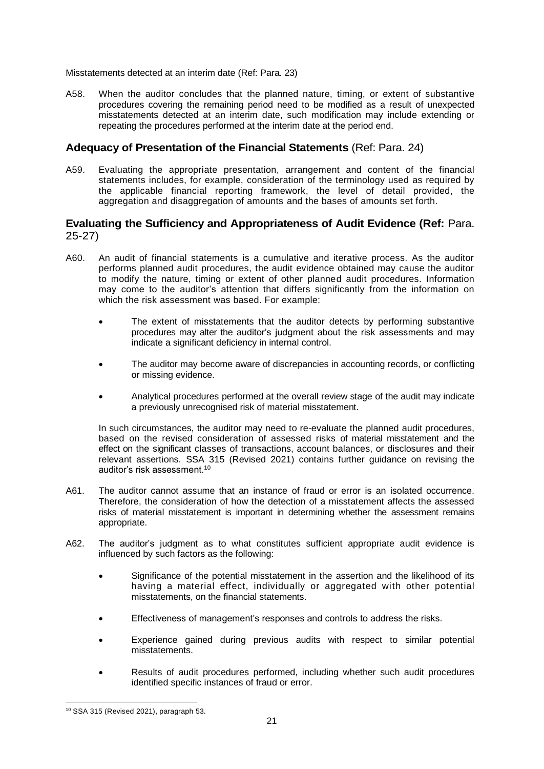Misstatements detected at an interim date (Ref: Para. 23)

A58. When the auditor concludes that the planned nature, timing, or extent of substantive procedures covering the remaining period need to be modified as a result of unexpected misstatements detected at an interim date, such modification may include extending or repeating the procedures performed at the interim date at the period end.

### **Adequacy of Presentation of the Financial Statements** (Ref: Para. 24)

A59. Evaluating the appropriate presentation, arrangement and content of the financial statements includes, for example, consideration of the terminology used as required by the applicable financial reporting framework, the level of detail provided, the aggregation and disaggregation of amounts and the bases of amounts set forth.

### **Evaluating the Sufficiency and Appropriateness of Audit Evidence (Ref:** Para. 25-27)

- A60. An audit of financial statements is a cumulative and iterative process. As the auditor performs planned audit procedures, the audit evidence obtained may cause the auditor to modify the nature, timing or extent of other planned audit procedures. Information may come to the auditor's attention that differs significantly from the information on which the risk assessment was based. For example:
	- The extent of misstatements that the auditor detects by performing substantive procedures may alter the auditor's judgment about the risk assessments and may indicate a significant deficiency in internal control.
	- The auditor may become aware of discrepancies in accounting records, or conflicting or missing evidence.
	- Analytical procedures performed at the overall review stage of the audit may indicate a previously unrecognised risk of material misstatement.

In such circumstances, the auditor may need to re-evaluate the planned audit procedures, based on the revised consideration of assessed risks of material misstatement and the effect on the significant classes of transactions, account balances, or disclosures and their relevant assertions. SSA 315 (Revised 2021) contains further guidance on revising the auditor's risk assessment.<sup>10</sup>

- A61. The auditor cannot assume that an instance of fraud or error is an isolated occurrence. Therefore, the consideration of how the detection of a misstatement affects the assessed risks of material misstatement is important in determining whether the assessment remains appropriate.
- A62. The auditor's judgment as to what constitutes sufficient appropriate audit evidence is influenced by such factors as the following:
	- Significance of the potential misstatement in the assertion and the likelihood of its having a material effect, individually or aggregated with other potential misstatements, on the financial statements.
	- Effectiveness of management's responses and controls to address the risks.
	- Experience gained during previous audits with respect to similar potential misstatements.
	- Results of audit procedures performed, including whether such audit procedures identified specific instances of fraud or error.

<sup>10</sup> SSA 315 (Revised 2021), paragraph 53.